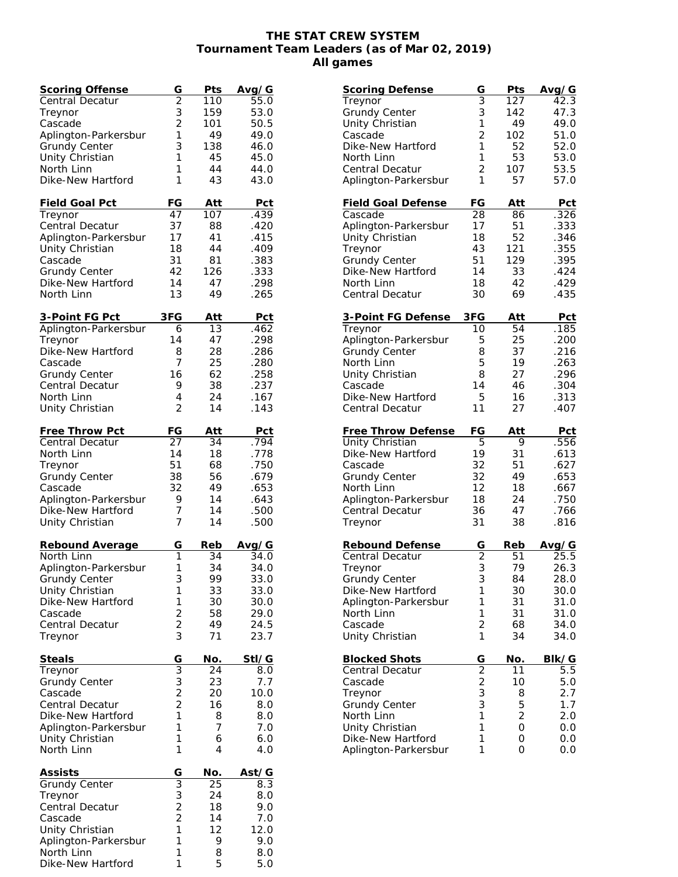## **THE STAT CREW SYSTEM Tournament Team Leaders (as of Mar 02, 2019) All games**

| <u>Scoring Offense</u>                  | G                                          | Pts             | Avg/G            |
|-----------------------------------------|--------------------------------------------|-----------------|------------------|
| Central Decatur                         | $\bar{\bar{2}}$                            | 110             | $\frac{1}{55.0}$ |
| Treynor                                 | 3                                          | 159             | 53.0             |
| Cascade                                 | $\overline{c}$                             | 101             | 50.5             |
| Aplington-Parkersbur                    | 1                                          | 49              | 49.0             |
| <b>Grundy Center</b>                    | 3                                          | 138             | 46.0             |
| Unity Christian                         | 1                                          | 45              | 45.0             |
| North Linn                              | 1                                          | 44              | 44.0             |
| Dike-New Hartford                       | 1                                          | 43              | 43.0             |
|                                         |                                            |                 |                  |
| <u>Field Goal Pct</u><br>Treynor        | FG<br>47                                   | Att<br>107      | Pct<br>.439      |
| Central Decatur                         | 37                                         | 88              | .420             |
| Aplington-Parkersbur                    | 17                                         | 41              | .415             |
| Unity Christian                         | 18                                         | 44              | .409             |
| Cascade                                 | 31                                         | 81              | .383             |
| <b>Grundy Center</b>                    | 42                                         | 126             | .333             |
| Dike-New Hartford                       | 14                                         | 47              | .298             |
| North Linn                              | 13                                         | 49              | .265             |
|                                         |                                            |                 |                  |
| <u>3-Point FG Pct</u>                   | 3FG                                        | Att             | <u>Pct</u>       |
| Aplington-Parkersbur                    | 6                                          | 13              | .462             |
| Treynor                                 | 14                                         | 47              | .298             |
| Dike-New Hartford                       | 8                                          | 28              | .286             |
| Cascade                                 | 7                                          | 25              | .280             |
| <b>Grundy Center</b>                    | 16                                         | 62              | .258             |
| Central Decatur                         | 9                                          | 38              | .237             |
| North Linn                              | 4                                          | 24              | .167             |
| Unity Christian                         | 2                                          | 14              | .143             |
|                                         |                                            |                 |                  |
| Free Throw Pct                          | FG                                         | Att             | <b>Pct</b>       |
| Central Decatur                         | 27<br>14                                   | 34<br>18        | .794<br>.778     |
| North Linn<br>Treynor                   | 51                                         | 68              | .750             |
| <b>Grundy Center</b>                    | 38                                         | 56              | .679             |
| Cascade                                 | 32                                         | 49              | .653             |
| Aplington-Parkersbur                    | 9                                          | 14              | .643             |
| Dike-New Hartford                       | 7                                          | 14              | .500             |
| Unity Christian                         | 7                                          | 14              | .500             |
|                                         |                                            |                 |                  |
| Rebound Average                         | G                                          | Reb             | Avg/G            |
| North Linn                              | 1                                          | 34              | 34.0             |
| Aplington-Parkersbur                    | 1                                          | 34              | 34.0             |
| Grundy Center                           | 3                                          | 99              | 33.0             |
| Unity Christian                         | 1                                          | 33              | 33.0             |
| Dike-New Hartford                       | 1                                          | 30              | 30.0             |
| Cascade                                 | $\overline{c}$                             | 58              | 29.0             |
| Central Decatur                         | $\overline{2}$                             | 49              | 24.5             |
| Treynor                                 | 3                                          | 71              | 23.7             |
| Steals                                  | G                                          | No.             | StI/G            |
| Treynor                                 | $\overline{3}$                             | $\overline{24}$ | 8.0              |
| <b>Grundy Center</b>                    |                                            | 23              | 7.7              |
| Cascade                                 | $\frac{3}{2}$                              | 20              | 10.0             |
| Central Decatur                         | $\overline{2}$                             | 16              | 8.0              |
| Dike-New Hartford                       | 1                                          | 8               | 8.0              |
| Aplington-Parkersbur                    | 1                                          | 7               | 7.0              |
| Unity Christian                         | 1                                          | 6               | 6.0              |
| North Linn                              | 1                                          | 4               | 4.0              |
|                                         |                                            |                 |                  |
| Assists                                 | $\overline{G}$                             | No.             | Ast/G            |
| Grundy Center                           | $\overline{3}$                             | 25              | 8.3              |
| Treynor                                 |                                            | 24              | 8.0              |
| Central Decatur                         | $\begin{array}{c} 3 \\ 2 \\ 2 \end{array}$ | 18<br>14        | 9.0              |
| Cascade                                 | $\mathbf{1}$                               | 12              | 7.0              |
| Unity Christian<br>Aplington-Parkersbur | 1                                          | 9               | 12.0<br>9.0      |
| North Linn                              | 1                                          | 8               | 8.0              |
| Dike-New Hartford                       | 1                                          | 5               | 5.0              |

| <b>Scoring Defense</b>                    | G                                            | Pts            | <u>Avg/G</u> |
|-------------------------------------------|----------------------------------------------|----------------|--------------|
| Treynor                                   | $\overline{3}$                               | 127            | 42.3         |
| <b>Grundy Center</b>                      | 3                                            | 142            | 47.3         |
|                                           |                                              |                |              |
| Unity Christian                           | $\mathbf{1}$                                 | 49             | 49.0         |
| Cascade                                   | $\overline{2}$                               | 102            | 51.0         |
| Dike-New Hartford                         | 1                                            | 52             | 52.0         |
|                                           | 1                                            |                |              |
| North Linn                                |                                              | 53             | 53.0         |
| Central Decatur                           | $\overline{2}$                               | 107            | 53.5         |
| Aplington-Parkersbur                      | 1                                            | 57             | 57.0         |
|                                           |                                              |                |              |
| <b>Field Goal Defense</b>                 | FG                                           | Att            | Pct          |
|                                           |                                              |                |              |
| Cascade                                   | 28                                           | 86             | .326         |
| Aplington-Parkersbur                      | 17                                           | 51             | .333         |
| Unity Christian                           | 18                                           | 52             | .346         |
| Treynor                                   | 43                                           | 121            | .355         |
|                                           |                                              |                |              |
| <b>Grundy Center</b>                      | 51                                           | 129            | .395         |
| Dike-New Hartford                         | 14                                           | 33             | .424         |
| North Linn                                | 18                                           | 42             | .429         |
| <b>Central Decatur</b>                    | 30                                           | 69             | .435         |
|                                           |                                              |                |              |
|                                           |                                              |                |              |
| 3-Point FG Defense                        | 3FG                                          | Att            | Pct          |
| Treynor                                   | 10                                           | 54             | .185         |
| Aplington-Parkersbur                      | 5                                            | 25             | .200         |
|                                           | 8                                            |                |              |
| <b>Grundy Center</b>                      |                                              | 37             | .216         |
| North Linn                                | 5                                            | 19             | .263         |
| Unity Christian                           | 8                                            | 27             | .296         |
| Cascade                                   | 14                                           | 46             | .304         |
|                                           |                                              |                |              |
| Dike-New Hartford                         | 5                                            | 16             | .313         |
| <b>Central Decatur</b>                    | 11                                           | 27             | .407         |
|                                           |                                              |                |              |
| <b>Free Throw Defense</b>                 | FG                                           | Att            | <b>Pct</b>   |
| Unity Christian                           | 5                                            | 9              | .556         |
|                                           |                                              |                |              |
| Dike-New Hartford                         | 19                                           | 31             | .613         |
| Cascade                                   | 32                                           | 51             | .627         |
| <b>Grundy Center</b>                      | 32                                           | 49             | .653         |
| North Linn                                | 12                                           | 18             | .667         |
|                                           | 18                                           | 24             | .750         |
| Aplington-Parkersbur                      |                                              |                |              |
| Central Decatur                           | 36                                           | 47             | .766         |
| Treynor                                   | 31                                           | 38             | .816         |
|                                           |                                              |                |              |
| <b>Rebound Defense</b>                    | G                                            | Reb            | Avg/G        |
|                                           |                                              |                |              |
| <b>Central Decatur</b>                    | 2                                            | 51             | 25.5         |
| Treynor                                   | 3                                            | 79             | 26.3         |
| Grundy Center                             | 3                                            | 84             | 28.0         |
| Dike-New Hartford                         | 1                                            | 30             | 30.0         |
|                                           |                                              |                |              |
| Aplington-Parkersbur                      | 1                                            | 31             | 31.0         |
| North Linn                                | 1                                            | 31             | 31.0         |
| Cascade                                   | $\overline{2}$                               | 68             | 34.0         |
| Unity Christian                           | 1                                            | 34             | 34.0         |
|                                           |                                              |                |              |
|                                           |                                              |                |              |
| <b>Blocked Shots</b>                      | G                                            | No.            | BIk/G        |
| Central Decatur                           | $\overline{2}$                               | 11             | 5.5          |
| Cascade                                   |                                              | 10             | 5.0          |
|                                           |                                              |                | 2.7          |
| Treynor                                   |                                              | 8              |              |
| <b>Grundy Center</b>                      |                                              |                |              |
|                                           | $\begin{array}{c}\n2 \\ 3 \\ 3\n\end{array}$ | 5              | 1.7          |
| North Linn                                | 1                                            | $\overline{2}$ | 2.0          |
|                                           |                                              |                |              |
| Unity Christian                           | 1                                            | 0              | 0.0          |
| Dike-New Hartford<br>Aplington-Parkersbur | 1<br>1                                       | 0<br>0         | 0.0<br>0.0   |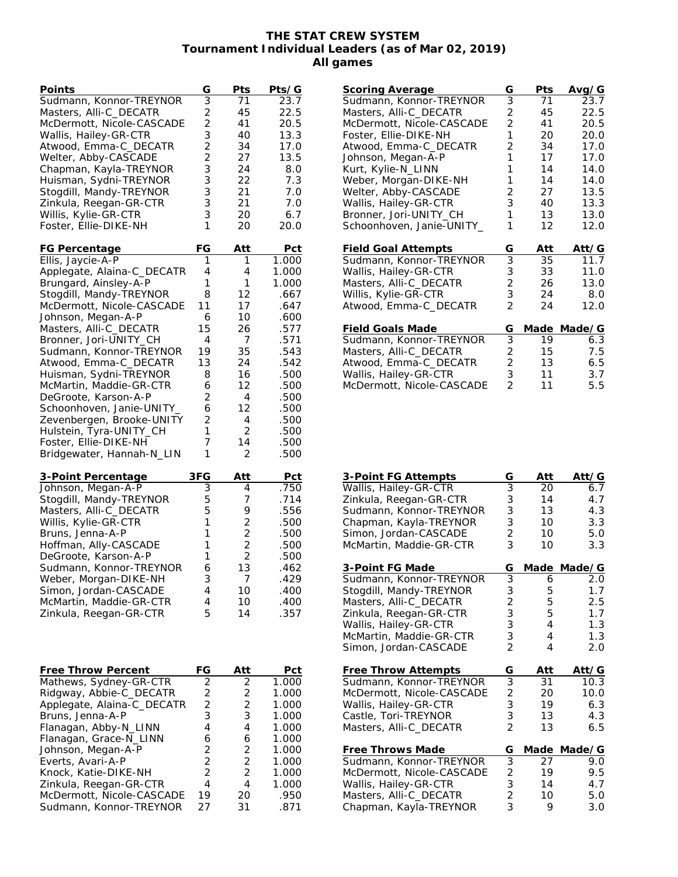## **THE STAT CREW SYSTEM Tournament Individual Leaders (as of Mar 02, 2019) All games**

| Points                     | G                       | Pts                     | Pts/G |
|----------------------------|-------------------------|-------------------------|-------|
| Sudmann, Konnor-TREYNOR    | $\overline{3}$          | 71                      | 23.7  |
| Masters, Alli-C_DECATR     | $\overline{c}$          | 45                      | 22.5  |
| McDermott, Nicole-CASCADE  | $\overline{c}$          | 41                      | 20.5  |
| Wallis, Hailey-GR-CTR      | 3                       | 40                      | 13.3  |
| Atwood, Emma-C_DECATR      | $\overline{c}$          | 34                      | 17.0  |
| Welter, Abby-CASCADE       | $\overline{2}$          | 27                      | 13.5  |
| Chapman, Kayla-TREYNOR     | 3                       | 24                      | 8.0   |
| Huisman, Sydni-TREYNOR     | 3                       | 22                      | 7.3   |
| Stogdill, Mandy-TREYNOR    | 3                       | 21                      | 7.0   |
| Zinkula, Reegan-GR-CTR     | 3                       | 21                      | 7.0   |
| Willis, Kylie-GR-CTR       | 3                       | 20                      | 6.7   |
| Foster, Ellie-DIKE-NH      | 1                       | 20                      | 20.0  |
|                            |                         |                         |       |
| FG Percentage              | FG                      | Att                     | Pct   |
| Ellis, Jaycie-A-P          | 1                       | 1                       | 1.000 |
| Applegate, Alaina-C_DECATR | 4                       | 4                       | 1.000 |
| Brungard, Ainsley-A-P      | 1                       | 1                       | 1.000 |
| Stogdill, Mandy-TREYNOR    | 8                       | 12                      | .667  |
| McDermott, Nicole-CASCADE  | 11                      | 17                      | .647  |
| Johnson, Megan-A-P         | 6                       | 10                      | .600  |
| Masters, Alli-C_DECATR     | 15                      | 26                      | .577  |
| Bronner, Jori-UNITY_CH     | 4                       | 7                       | .571  |
| Sudmann, Konnor-TREYNOR    | 19                      | 35                      | .543  |
| Atwood, Emma-C_DECATR      | 13                      | 24                      | .542  |
| Huisman, Sydni-TREYNOR     | 8                       | 16                      | .500  |
| McMartin, Maddie-GR-CTR    | 6                       | 12                      | .500  |
| DeGroote, Karson-A-P       | 2                       | 4                       | .500  |
|                            | 6                       |                         | .500  |
| Schoonhoven, Janie-UNITY_  |                         | 12                      |       |
| Zevenbergen, Brooke-UNITY  | 2                       | 4                       | .500  |
| Hulstein, Tyra-UNITY_CH    | 1                       | 2                       | .500  |
| Foster, Ellie-DIKE-NH      | 7                       | 14                      | .500  |
| Bridgewater, Hannah-N_LIN  | 1                       | 2                       | .500  |
|                            |                         |                         |       |
| <u>3-Point Percentage</u>  | 3FG                     | <u>Att</u>              | Pct   |
| Johnson, Megan-A-P         | 3                       | 4                       | .750  |
| Stogdill, Mandy-TREYNOR    | 5                       | 7                       | .714  |
| Masters, Alli-C_DECATR     | 5                       | 9                       | .556  |
| Willis, Kylie-GR-CTR       | 1                       | $\overline{c}$          | .500  |
| Bruns, Jenna-A-P           | 1                       | 2                       | .500  |
| Hoffman, Ally-CASCADE      | 1                       | $\overline{2}$          | .500  |
| DeGroote, Karson-A-P       | 1                       | $\overline{2}$          | .500  |
| Sudmann, Konnor-TREYNOR    | 6                       | 13                      | .462  |
| Weber, Morgan-DIKE-NH      | 3                       | 7                       | .429  |
| Simon, Jordan-CASCADE      | 4                       | 10                      | .400  |
| McMartin, Maddie-GR-CTR    | 4                       | 10                      | .400  |
| Zinkula, Reegan-GR-CTR     | 5                       | 14                      | .357  |
|                            |                         |                         |       |
|                            |                         |                         |       |
|                            |                         |                         |       |
|                            |                         |                         |       |
| Free Throw Percent         | FG                      | Att                     | Pct   |
| Mathews, Sydney-GR-CTR     | $\overline{2}$          | 2                       | 1.000 |
| Ridgway, Abbie-C_DECATR    | $\overline{\mathbf{c}}$ | $\overline{\mathbf{c}}$ | 1.000 |
| Applegate, Alaina-C_DECATR | $\overline{c}$          | $\overline{c}$          | 1.000 |
| Bruns, Jenna-A-P           | 3                       | 3                       | 1.000 |
| Flanagan, Abby-N_LINN      | $\overline{4}$          | 4                       | 1.000 |
| Flanagan, Grace-N_LINN     | 6                       | 6                       | 1.000 |
| Johnson, Megan-A-P         | 2                       | 2                       | 1.000 |
| Everts, Avari-A-P          | $\overline{c}$          | $\overline{2}$          | 1.000 |
| Knock, Katie-DIKE-NH       | $\overline{2}$          | $\overline{2}$          | 1.000 |
| Zinkula, Reegan-GR-CTR     | 4                       | 4                       | 1.000 |
| McDermott, Nicole-CASCADE  | 19                      | 20                      | .950  |
| Sudmann, Konnor-TREYNOR    | 27                      | 31                      | .871  |

| Scoring Average            | G              | Pts  | Ava⁄G  |
|----------------------------|----------------|------|--------|
| Sudmann, Konnor-TREYNOR    | 3              | 71   | 23.7   |
| Masters, Alli-C_DECATR     | 2              | 45   | 22.5   |
| McDermott, Nicole-CASCADE  | $\overline{2}$ | 41   | 20.5   |
| Foster, Ellie-DIKE-NH      | 1              | 20   | 20.0   |
| Atwood, Emma-C_DECATR      | $\overline{2}$ | 34   | 17.0   |
| Johnson, Megan-A-P         | 1              | 17   | 17.0   |
| Kurt, Kylie-N_LINN         | 1              | 14   | 14.0   |
| Weber, Morgan-DIKE-NH      | 1              | 14   | 14.0   |
| Welter, Abby-CASCADE       | 2              | 27   | 13.5   |
| Wallis, Hailey-GR-CTR      | 3              | 40   | 13.3   |
| Bronner, Jori-UNITY_CH     | 1              | 13   | 13.0   |
| Schoonhoven, Janie-UNITY_  | 1              | 12   | 12.0   |
| <b>Field Goal Attempts</b> | G              | Att  | Att/G  |
| Sudmann, Konnor-TREYNOR    | $\overline{3}$ | 35   | 11.7   |
| Wallis, Hailey-GR-CTR      | 3              | 33   | 11.0   |
| Masters, Alli-C_DECATR     | $\overline{2}$ | 26   | 13.0   |
| Willis, Kylie-GR-CTR       | 3              | 24   | 8.0    |
| Atwood, Emma-C_DECATR      | $\overline{2}$ | 24   | 12.0   |
| Field Goals Made           | G              | Made | Made/G |
| Sudmann, Konnor-TREYNOR    | 3              | 19   | 6.3    |
| Masters, Alli-C_DECATR     | $\overline{2}$ | 15   | 7.5    |
| Atwood, Emma-C_DECATR      | $\overline{2}$ | 13   | 6.5    |
| Wallis, Hailey-GR-CTR      | 3              | 11   | 3.7    |
| McDermott, Nicole-CASCADE  | $\overline{2}$ | 11   | 5.5    |

| 3-Point FG Attempts        | G              | Att  | Att/G       |
|----------------------------|----------------|------|-------------|
| Wallis, Hailey-GR-CTR      | $\overline{3}$ | 20   | 6.7         |
| Zinkula, Reegan-GR-CTR     | 3              | 14   | 4.7         |
| Sudmann, Konnor-TREYNOR    | 3              | 13   | 4.3         |
| Chapman, Kayla-TREYNOR     | 3              | 10   | 3.3         |
| Simon, Jordan-CASCADE      | $\overline{2}$ | 10   | 5.0         |
| McMartin, Maddie-GR-CTR    | 3              | 10   | 3.3         |
| 3-Point FG Made            | G              | Made | Made/G      |
| Sudmann, Konnor-TREYNOR    | $\overline{3}$ | 6    | 2.0         |
| Stogdill, Mandy-TREYNOR    | 3              | 5    | 1.7         |
| Masters, Alli-C_DECATR     | $\overline{2}$ | 5    | 2.5         |
| Zinkula, Reegan-GR-CTR     | 3              | 5    | 1.7         |
| Wallis, Hailey-GR-CTR      | 3              | 4    | 1.3         |
| McMartin, Maddie-GR-CTR    | 3              | 4    | 1.3         |
| Simon, Jordan-CASCADE      | $\overline{2}$ | 4    | 2.0         |
| <b>Free Throw Attempts</b> | G              | Att  | Att/G       |
| Sudmann, Konnor-TREYNOR    | $\overline{3}$ | 31   | 10.3        |
| McDermott, Nicole-CASCADE  | $\overline{c}$ | 20   | 10.0        |
| Wallis, Hailey-GR-CTR      | 3              | 19   | 6.3         |
| Castle, Tori-TREYNOR       | 3              | 13   | 4.3         |
| Masters, Alli-C_DECATR     | $\overline{2}$ | 13   | 6.5         |
| <b>Free Throws Made</b>    | G              |      | Made Made/G |
| Sudmann, Konnor-TREYNOR    | $\overline{3}$ | 27   | 9.0         |
| McDermott, Nicole-CASCADE  |                | 19   | 9.5         |
| Wallis, Hailey-GR-CTR      | 2<br>3         | 14   | 4.7         |
| Masters, Alli-C_DECATR     | $\frac{2}{3}$  | 10   | 5.0         |
| Chapman, Kayla-TREYNOR     |                | 9    | 3.0         |